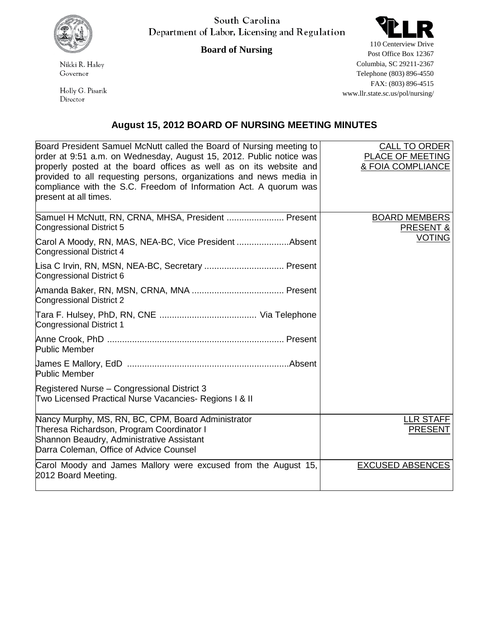

South Carolina Department of Labor, Licensing and Regulation



**Board of Nursing**

Nikki R. Haley Governor

Holly G. Pisarik Director

110 Centerview Drive Post Office Box 12367 Columbia, SC 29211-2367 Telephone (803) 896-4550 FAX: (803) 896-4515 www.llr.state.sc.us/pol/nursing/

## **August 15, 2012 BOARD OF NURSING MEETING MINUTES**

| Board President Samuel McNutt called the Board of Nursing meeting to<br>order at 9:51 a.m. on Wednesday, August 15, 2012. Public notice was<br>properly posted at the board offices as well as on its website and<br>provided to all requesting persons, organizations and news media in<br>compliance with the S.C. Freedom of Information Act. A quorum was<br>present at all times. | <b>CALL TO ORDER</b><br>PLACE OF MEETING<br>& FOIA COMPLIANCE |
|----------------------------------------------------------------------------------------------------------------------------------------------------------------------------------------------------------------------------------------------------------------------------------------------------------------------------------------------------------------------------------------|---------------------------------------------------------------|
| Samuel H McNutt, RN, CRNA, MHSA, President  Present<br>Congressional District 5                                                                                                                                                                                                                                                                                                        | <b>BOARD MEMBERS</b><br><b>PRESENT &amp;</b>                  |
| Carol A Moody, RN, MAS, NEA-BC, Vice President Absent<br>Congressional District 4                                                                                                                                                                                                                                                                                                      | <b>VOTING</b>                                                 |
| Congressional District 6                                                                                                                                                                                                                                                                                                                                                               |                                                               |
| <b>Congressional District 2</b>                                                                                                                                                                                                                                                                                                                                                        |                                                               |
| <b>Congressional District 1</b>                                                                                                                                                                                                                                                                                                                                                        |                                                               |
| Public Member                                                                                                                                                                                                                                                                                                                                                                          |                                                               |
| <b>Public Member</b>                                                                                                                                                                                                                                                                                                                                                                   |                                                               |
| Registered Nurse - Congressional District 3<br>Two Licensed Practical Nurse Vacancies- Regions I & II                                                                                                                                                                                                                                                                                  |                                                               |
| Nancy Murphy, MS, RN, BC, CPM, Board Administrator<br>Theresa Richardson, Program Coordinator I<br>Shannon Beaudry, Administrative Assistant<br>Darra Coleman, Office of Advice Counsel                                                                                                                                                                                                | <b>LLR STAFF</b><br><b>PRESENT</b>                            |
| Carol Moody and James Mallory were excused from the August 15,<br>2012 Board Meeting.                                                                                                                                                                                                                                                                                                  | <b>EXCUSED ABSENCES</b>                                       |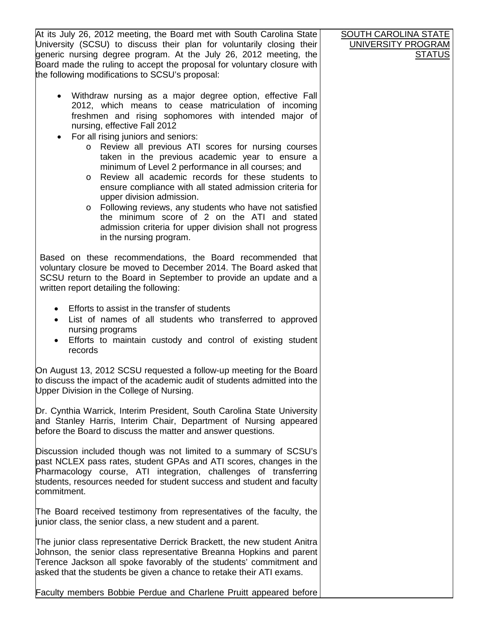At its July 26, 2012 meeting, the Board met with South Carolina State University (SCSU) to discuss their plan for voluntarily closing their generic nursing degree program. At the July 26, 2012 meeting, the Board made the ruling to accept the proposal for voluntary closure with the following modifications to SCSU's proposal: • Withdraw nursing as a major degree option, effective Fall 2012, which means to cease matriculation of incoming freshmen and rising sophomores with intended major of nursing, effective Fall 2012 • For all rising juniors and seniors: o Review all previous ATI scores for nursing courses taken in the previous academic year to ensure a minimum of Level 2 performance in all courses; and o Review all academic records for these students to ensure compliance with all stated admission criteria for upper division admission. o Following reviews, any students who have not satisfied the minimum score of 2 on the ATI and stated admission criteria for upper division shall not progress in the nursing program. Based on these recommendations, the Board recommended that voluntary closure be moved to December 2014. The Board asked that SCSU return to the Board in September to provide an update and a written report detailing the following: • Efforts to assist in the transfer of students • List of names of all students who transferred to approved nursing programs • Efforts to maintain custody and control of existing student records On August 13, 2012 SCSU requested a follow-up meeting for the Board to discuss the impact of the academic audit of students admitted into the Upper Division in the College of Nursing. Dr. Cynthia Warrick, Interim President, South Carolina State University and Stanley Harris, Interim Chair, Department of Nursing appeared before the Board to discuss the matter and answer questions. Discussion included though was not limited to a summary of SCSU's past NCLEX pass rates, student GPAs and ATI scores, changes in the Pharmacology course, ATI integration, challenges of transferring students, resources needed for student success and student and faculty commitment. The Board received testimony from representatives of the faculty, the junior class, the senior class, a new student and a parent. The junior class representative Derrick Brackett, the new student Anitra Johnson, the senior class representative Breanna Hopkins and parent Terence Jackson all spoke favorably of the students' commitment and asked that the students be given a chance to retake their ATI exams. **SOUTH CAROLINA STATE** UNIVERSITY PROGRAM **STATUS** 

Faculty members Bobbie Perdue and Charlene Pruitt appeared before